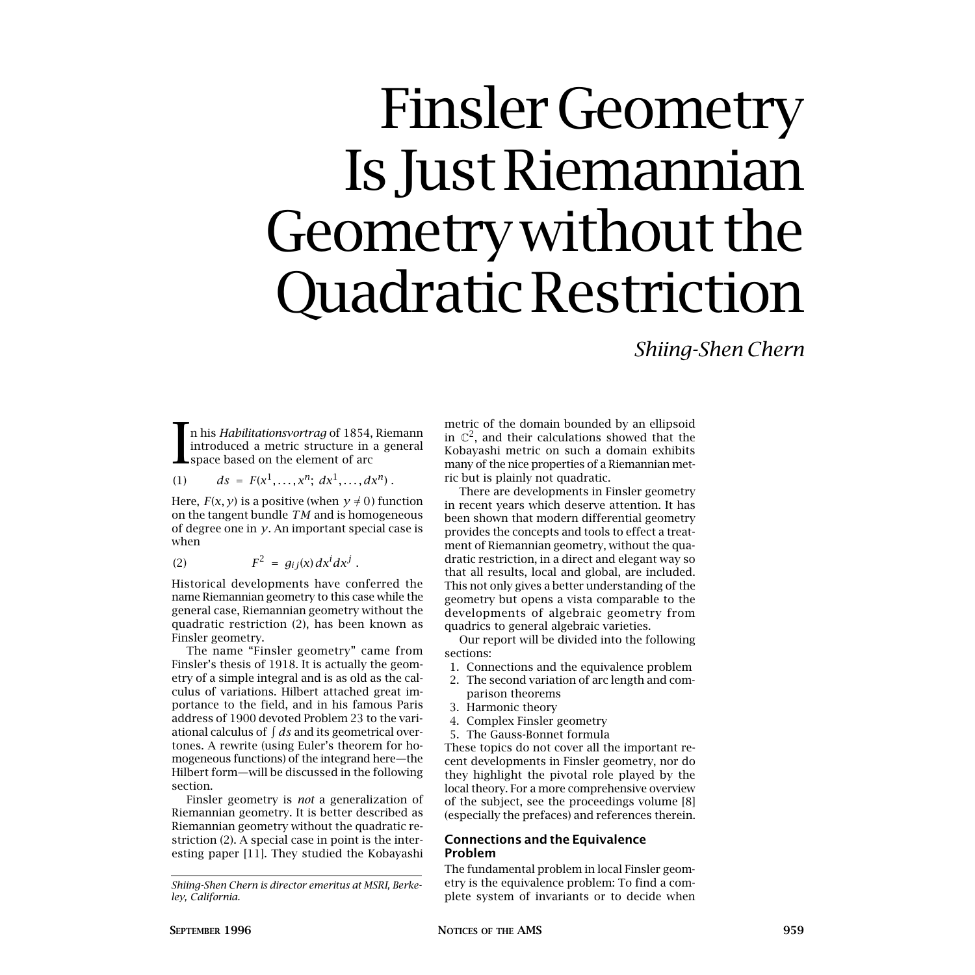# Finsler Geometry Is Just Riemannian Geometry without the Quadratic Restriction

*Shiing-Shen Chern*

In his *Habilitationsvortrag* of 1854, Riemann<br>introduced a metric structure in a general<br>space based on the element of arc introduced a metric structure in a general space based on the element of arc

(1) 
$$
ds = F(x^1, ..., x^n; dx^1, ..., dx^n)
$$
.

Here,  $F(x, y)$  is a positive (when  $y \neq 0$ ) function on the tangent bundle *TM* and is homogeneous of degree one in *y*. An important special case is when

$$
(2) \tF^2 = g_{ij}(x) dx^i dx^j.
$$

Historical developments have conferred the name Riemannian geometry to this case while the general case, Riemannian geometry without the quadratic restriction (2), has been known as Finsler geometry.

The name "Finsler geometry" came from Finsler's thesis of 1918. It is actually the geometry of a simple integral and is as old as the calculus of variations. Hilbert attached great importance to the field, and in his famous Paris address of 1900 devoted Problem 23 to the variational calculus of  $\int ds$  and its geometrical overtones. A rewrite (using Euler's theorem for homogeneous functions) of the integrand here—the Hilbert form—will be discussed in the following section.

Finsler geometry is *not* a generalization of Riemannian geometry. It is better described as Riemannian geometry without the quadratic restriction (2). A special case in point is the interesting paper [11]. They studied the Kobayashi metric of the domain bounded by an ellipsoid in  $\mathbb{C}^2$ , and their calculations showed that the Kobayashi metric on such a domain exhibits many of the nice properties of a Riemannian metric but is plainly not quadratic.

There are developments in Finsler geometry in recent years which deserve attention. It has been shown that modern differential geometry provides the concepts and tools to effect a treatment of Riemannian geometry, without the quadratic restriction, in a direct and elegant way so that all results, local and global, are included. This not only gives a better understanding of the geometry but opens a vista comparable to the developments of algebraic geometry from quadrics to general algebraic varieties.

Our report will be divided into the following sections:

- 1. Connections and the equivalence problem
- 2. The second variation of arc length and com
	- parison theorems
- 3. Harmonic theory
- 4. Complex Finsler geometry
- 5. The Gauss-Bonnet formula

These topics do not cover all the important recent developments in Finsler geometry, nor do they highlight the pivotal role played by the local theory. For a more comprehensive overview of the subject, see the proceedings volume [8] (especially the prefaces) and references therein.

# **Connections and the Equivalence Problem**

The fundamental problem in local Finsler geometry is the equivalence problem: To find a complete system of invariants or to decide when

*Shiing-Shen Chern is director emeritus at MSRI, Berkeley, California.*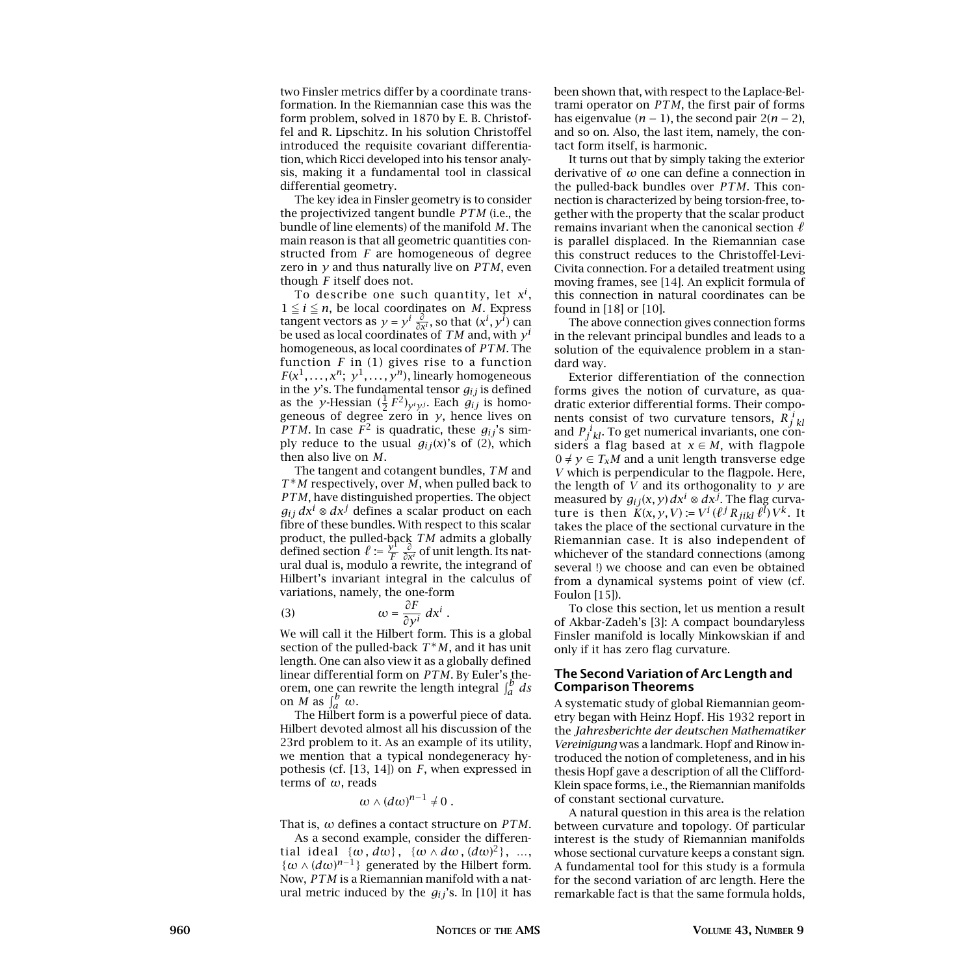two Finsler metrics differ by a coordinate transformation. In the Riemannian case this was the form problem, solved in 1870 by E. B. Christoffel and R. Lipschitz. In his solution Christoffel introduced the requisite covariant differentiation, which Ricci developed into his tensor analysis, making it a fundamental tool in classical differential geometry.

The key idea in Finsler geometry is to consider the projectivized tangent bundle *PTM* (i.e., the bundle of line elements) of the manifold *M*. The main reason is that all geometric quantities constructed from *F* are homogeneous of degree zero in *y* and thus naturally live on *PTM*, even though *F* itself does not.

To describe one such quantity, let *xi* ,  $1 \leq i \leq n$ , be local coordinates on *M*. Express tangent vectors as  $y = y^i \frac{\partial}{\partial x^i}$ , so that  $(x^i, y^i)$  can be used as local coordinates of *TM* and, with *y<sup>i</sup>* homogeneous, as local coordinates of *PTM*. The function *F* in (1) gives rise to a function  $F(x^1, \ldots, x^n; y^1, \ldots, y^n)$ , linearly homogeneous in the  $y$ 's. The fundamental tensor  $g_{ij}$  is defined as the *y*-Hessian  $(\frac{1}{2}F^2)_{y^j y^j}$ . Each  $g_{ij}$  is homogeneous of degree zero in *y*, hence lives on *PTM*. In case  $F^2$  is quadratic, these  $g_{ij}$ 's simply reduce to the usual  $g_{ij}(x)$ 's of (2), which then also live on *M*.

The tangent and cotangent bundles, *TM* and *T*<sup>∗</sup>*M* respectively, over *M*, when pulled back to *PTM*, have distinguished properties. The object *g*<sub>ij</sub>  $dx$ <sup>*i*</sup> ⊗  $dx$ <sup>*j*</sup> defines a scalar product on each fibre of these bundles. With respect to this scalar product, the pulled-back *TM* admits a globally defined section  $\ell := \frac{y^1}{F} \frac{\partial}{\partial x^i}$  of unit length. Its natural dual is, modulo a rewrite, the integrand of Hilbert's invariant integral in the calculus of variations, namely, the one-form

(3) 
$$
\omega = \frac{\partial F}{\partial y^i} dx^i.
$$

We will call it the Hilbert form. This is a global section of the pulled-back  $T^*M$ , and it has unit length. One can also view it as a globally defined linear differential form on  $PTM$ . By Euler's theorem, one can rewrite the length integral  $\int_a^b ds$ <br>on *M* as  $\int_a^b \omega$ .

The Hilbert form is a powerful piece of data. Hilbert devoted almost all his discussion of the 23rd problem to it. As an example of its utility, we mention that a typical nondegeneracy hypothesis (cf. [13, 14]) on *F*, when expressed in terms of *ω*, reads

$$
\omega \wedge (d\omega)^{n-1} \neq 0.
$$

That is, *ω* defines a contact structure on *PTM*.

As a second example, consider the differential ideal {*ω, dω*} , {*ω* ∧ *dω,* (*dω*) <sup>2</sup>}, …,  $\{\omega \wedge (d\omega)^{n-1}\}\$  generated by the Hilbert form. Now, *PTM* is a Riemannian manifold with a natural metric induced by the *gij*'s. In [10] it has been shown that, with respect to the Laplace-Beltrami operator on *PTM*, the first pair of forms has eigenvalue  $(n − 1)$ , the second pair  $2(n − 2)$ , and so on. Also, the last item, namely, the contact form itself, is harmonic.

It turns out that by simply taking the exterior derivative of *ω* one can define a connection in the pulled-back bundles over *PTM*. This connection is characterized by being torsion-free, together with the property that the scalar product remains invariant when the canonical section  $\ell$ is parallel displaced. In the Riemannian case this construct reduces to the Christoffel-Levi-Civita connection. For a detailed treatment using moving frames, see [14]. An explicit formula of this connection in natural coordinates can be found in [18] or [10].

The above connection gives connection forms in the relevant principal bundles and leads to a solution of the equivalence problem in a standard way.

Exterior differentiation of the connection forms gives the notion of curvature, as quadratic exterior differential forms. Their components consist of two curvature tensors,  $\overline{R}_{j\ kl}^i$ and  $P_j^i{}_{kl}$ . To get numerical invariants, one considers a flag based at  $x \in M$ , with flagpole  $0 \neq y \in T_xM$  and a unit length transverse edge *V* which is perpendicular to the flagpole. Here, the length of *V* and its orthogonality to *y* are measured by  $g_{ij}(x, y) dx^i \otimes dx^j$ . The flag curvature is then  $K(x, y, V) := V^i (\ell^j R_{jikl} \ell^l) V^k$ . It takes the place of the sectional curvature in the Riemannian case. It is also independent of whichever of the standard connections (among several !) we choose and can even be obtained from a dynamical systems point of view (cf. Foulon [15]).

To close this section, let us mention a result of Akbar-Zadeh's [3]: A compact boundaryless Finsler manifold is locally Minkowskian if and only if it has zero flag curvature.

# **The Second Variation of Arc Length and Comparison Theorems**

A systematic study of global Riemannian geometry began with Heinz Hopf. His 1932 report in the *Jahresberichte der deutschen Mathematiker Vereinigung* was a landmark. Hopf and Rinow introduced the notion of completeness, and in his thesis Hopf gave a description of all the Clifford-Klein space forms, i.e., the Riemannian manifolds of constant sectional curvature.

A natural question in this area is the relation between curvature and topology. Of particular interest is the study of Riemannian manifolds whose sectional curvature keeps a constant sign. A fundamental tool for this study is a formula for the second variation of arc length. Here the remarkable fact is that the same formula holds,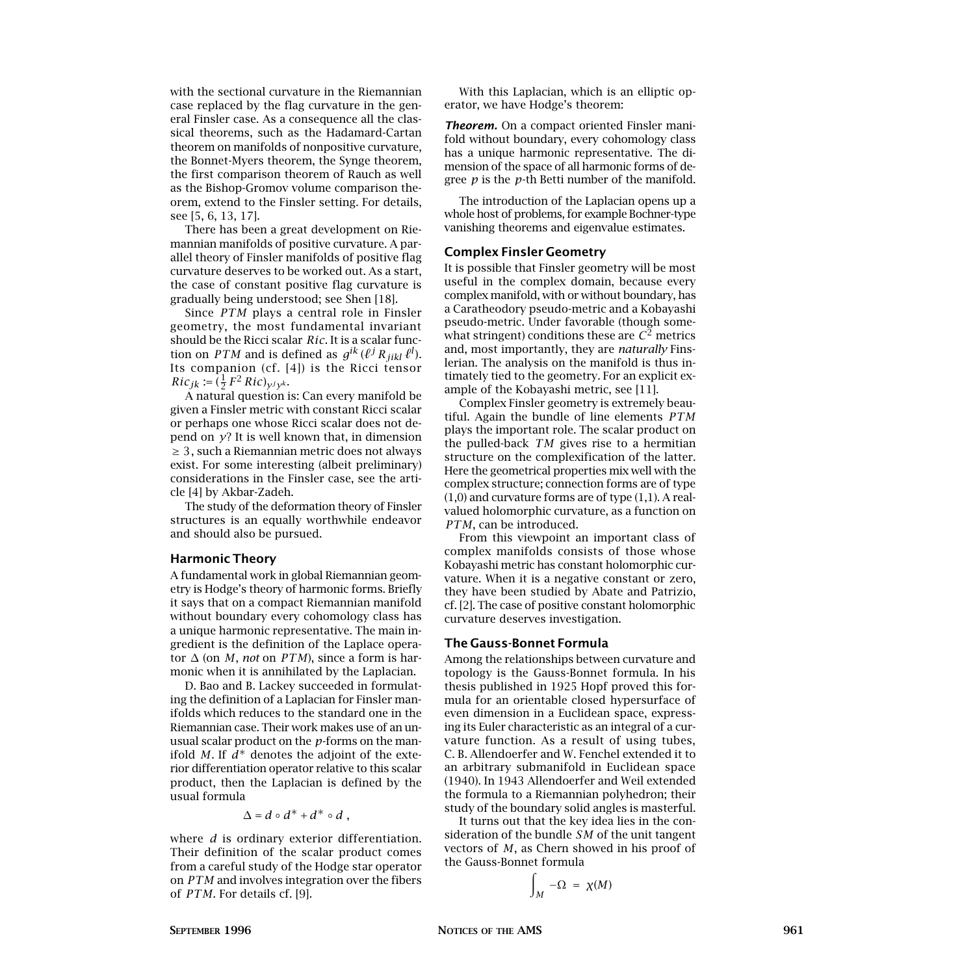with the sectional curvature in the Riemannian case replaced by the flag curvature in the general Finsler case. As a consequence all the classical theorems, such as the Hadamard-Cartan theorem on manifolds of nonpositive curvature, the Bonnet-Myers theorem, the Synge theorem, the first comparison theorem of Rauch as well as the Bishop-Gromov volume comparison theorem, extend to the Finsler setting. For details, see [5, 6, 13, 17].

There has been a great development on Riemannian manifolds of positive curvature. A parallel theory of Finsler manifolds of positive flag curvature deserves to be worked out. As a start, the case of constant positive flag curvature is gradually being understood; see Shen [18].

Since *PTM* plays a central role in Finsler geometry, the most fundamental invariant should be the Ricci scalar *Ric*. It is a scalar function on *PTM* and is defined as  $g^{ik}(\ell^j R_{jikl} \ell^l)$ . Its companion (cf. [4]) is the Ricci tensor  $Ric_{jk} := (\frac{1}{2} F^2 Ric)_{y^j y^k}.$ 

A natural question is: Can every manifold be given a Finsler metric with constant Ricci scalar or perhaps one whose Ricci scalar does not depend on *y*? It is well known that, in dimension ≥ 3, such a Riemannian metric does not always exist. For some interesting (albeit preliminary) considerations in the Finsler case, see the article [4] by Akbar-Zadeh.

The study of the deformation theory of Finsler structures is an equally worthwhile endeavor and should also be pursued.

# **Harmonic Theory**

A fundamental work in global Riemannian geometry is Hodge's theory of harmonic forms. Briefly it says that on a compact Riemannian manifold without boundary every cohomology class has a unique harmonic representative. The main ingredient is the definition of the Laplace operator <sup>∆</sup> (on *M*, *not* on *PTM*), since a form is harmonic when it is annihilated by the Laplacian.

D. Bao and B. Lackey succeeded in formulating the definition of a Laplacian for Finsler manifolds which reduces to the standard one in the Riemannian case. Their work makes use of an unusual scalar product on the *p*-forms on the manifold *M*. If  $d^*$  denotes the adjoint of the exterior differentiation operator relative to this scalar product, then the Laplacian is defined by the usual formula

$$
\Delta = d \circ d^* + d^* \circ d \ ,
$$

where *d* is ordinary exterior differentiation. Their definition of the scalar product comes from a careful study of the Hodge star operator on *PTM* and involves integration over the fibers of *PTM*. For details cf. [9].

With this Laplacian, which is an elliptic operator, we have Hodge's theorem:

*Theorem.* On a compact oriented Finsler manifold without boundary, every cohomology class has a unique harmonic representative. The dimension of the space of all harmonic forms of degree *p* is the *p*-th Betti number of the manifold.

The introduction of the Laplacian opens up a whole host of problems, for example Bochner-type vanishing theorems and eigenvalue estimates.

#### **Complex Finsler Geometry**

It is possible that Finsler geometry will be most useful in the complex domain, because every complex manifold, with or without boundary, has a Caratheodory pseudo-metric and a Kobayashi pseudo-metric. Under favorable (though somewhat stringent) conditions these are  $C^2$  metrics and, most importantly, they are *naturally* Finslerian. The analysis on the manifold is thus intimately tied to the geometry. For an explicit example of the Kobayashi metric, see [11].

Complex Finsler geometry is extremely beautiful. Again the bundle of line elements *PTM* plays the important role. The scalar product on the pulled-back *TM* gives rise to a hermitian structure on the complexification of the latter. Here the geometrical properties mix well with the complex structure; connection forms are of type (1,0) and curvature forms are of type (1,1). A realvalued holomorphic curvature, as a function on *PTM*, can be introduced.

From this viewpoint an important class of complex manifolds consists of those whose Kobayashi metric has constant holomorphic curvature. When it is a negative constant or zero, they have been studied by Abate and Patrizio, cf. [2]. The case of positive constant holomorphic curvature deserves investigation.

#### **The Gauss-Bonnet Formula**

Among the relationships between curvature and topology is the Gauss-Bonnet formula. In his thesis published in 1925 Hopf proved this formula for an orientable closed hypersurface of even dimension in a Euclidean space, expressing its Euler characteristic as an integral of a curvature function. As a result of using tubes, C. B. Allendoerfer and W. Fenchel extended it to an arbitrary submanifold in Euclidean space (1940). In 1943 Allendoerfer and Weil extended the formula to a Riemannian polyhedron; their study of the boundary solid angles is masterful.

It turns out that the key idea lies in the consideration of the bundle *SM* of the unit tangent vectors of *M*, as Chern showed in his proof of the Gauss-Bonnet formula

$$
\int_M -\Omega = \chi(M)
$$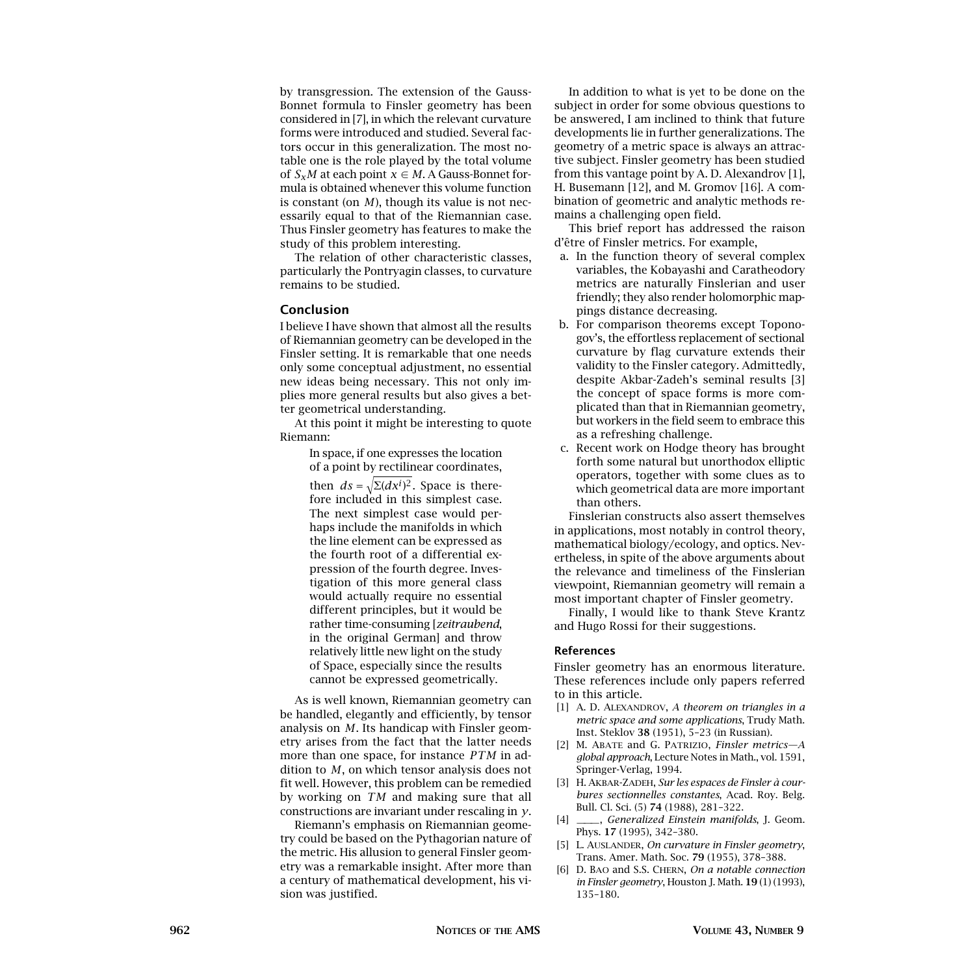by transgression. The extension of the Gauss-Bonnet formula to Finsler geometry has been considered in [7], in which the relevant curvature forms were introduced and studied. Several factors occur in this generalization. The most notable one is the role played by the total volume of  $S_xM$  at each point  $x \in M$ . A Gauss-Bonnet formula is obtained whenever this volume function is constant (on *M*), though its value is not necessarily equal to that of the Riemannian case. Thus Finsler geometry has features to make the study of this problem interesting.

The relation of other characteristic classes, particularly the Pontryagin classes, to curvature remains to be studied.

# **Conclusion**

I believe I have shown that almost all the results of Riemannian geometry can be developed in the Finsler setting. It is remarkable that one needs only some conceptual adjustment, no essential new ideas being necessary. This not only implies more general results but also gives a better geometrical understanding.

At this point it might be interesting to quote Riemann:

> In space, if one expresses the location of a point by rectilinear coordinates,

then  $ds = \sqrt{\Sigma(dx^i)^2}$ . Space is there-<br>fame included in this simulations fore included in this simplest case. The next simplest case would perhaps include the manifolds in which the line element can be expressed as the fourth root of a differential expression of the fourth degree. Investigation of this more general class would actually require no essential different principles, but it would be rather time-consuming [*zeitraubend*, in the original German] and throw relatively little new light on the study of Space, especially since the results cannot be expressed geometrically.

As is well known, Riemannian geometry can be handled, elegantly and efficiently, by tensor analysis on *M*. Its handicap with Finsler geometry arises from the fact that the latter needs more than one space, for instance *PTM* in addition to *M*, on which tensor analysis does not fit well. However, this problem can be remedied by working on *TM* and making sure that all constructions are invariant under rescaling in *y*.

Riemann's emphasis on Riemannian geometry could be based on the Pythagorian nature of the metric. His allusion to general Finsler geometry was a remarkable insight. After more than a century of mathematical development, his vision was justified.

In addition to what is yet to be done on the subject in order for some obvious questions to be answered, I am inclined to think that future developments lie in further generalizations. The geometry of a metric space is always an attractive subject. Finsler geometry has been studied from this vantage point by A. D. Alexandrov [1], H. Busemann [12], and M. Gromov [16]. A combination of geometric and analytic methods remains a challenging open field.

This brief report has addressed the raison d'être of Finsler metrics. For example,

- a. In the function theory of several complex variables, the Kobayashi and Caratheodory metrics are naturally Finslerian and user friendly; they also render holomorphic mappings distance decreasing.
- b. For comparison theorems except Toponogov's, the effortless replacement of sectional curvature by flag curvature extends their validity to the Finsler category. Admittedly, despite Akbar-Zadeh's seminal results [3] the concept of space forms is more complicated than that in Riemannian geometry, but workers in the field seem to embrace this as a refreshing challenge.
- c. Recent work on Hodge theory has brought forth some natural but unorthodox elliptic operators, together with some clues as to which geometrical data are more important than others.

Finslerian constructs also assert themselves in applications, most notably in control theory, mathematical biology/ecology, and optics. Nevertheless, in spite of the above arguments about the relevance and timeliness of the Finslerian viewpoint, Riemannian geometry will remain a most important chapter of Finsler geometry.

Finally, I would like to thank Steve Krantz and Hugo Rossi for their suggestions.

#### **References**

Finsler geometry has an enormous literature. These references include only papers referred to in this article.

- [1] A. D. ALEXANDROV, *A theorem on triangles in a metric space and some applications*, Trudy Math. Inst. Steklov **38** (1951), 5–23 (in Russian).
- [2] M. Abate and G. Patrizio, *Finsler metrics—A global approach*, Lecture Notes in Math., vol. 1591, Springer-Verlag, 1994.
- [3] H. Akbar-Zadeh, *Sur les espaces de Finsler à courbures sectionnelles constantes*, Acad. Roy. Belg. Bull. Cl. Sci. (5) **74** (1988), 281–322.
- [4] ———, *Generalized Einstein manifolds*, J. Geom. Phys. **17** (1995), 342–380.
- [5] L. Auslander, *On curvature in Finsler geometry*, Trans. Amer. Math. Soc. **79** (1955), 378–388.
- [6] D. Bao and S.S. Chern, *On a notable connection in Finsler geometry*, Houston J. Math. **19** (1) (1993), 135–180.